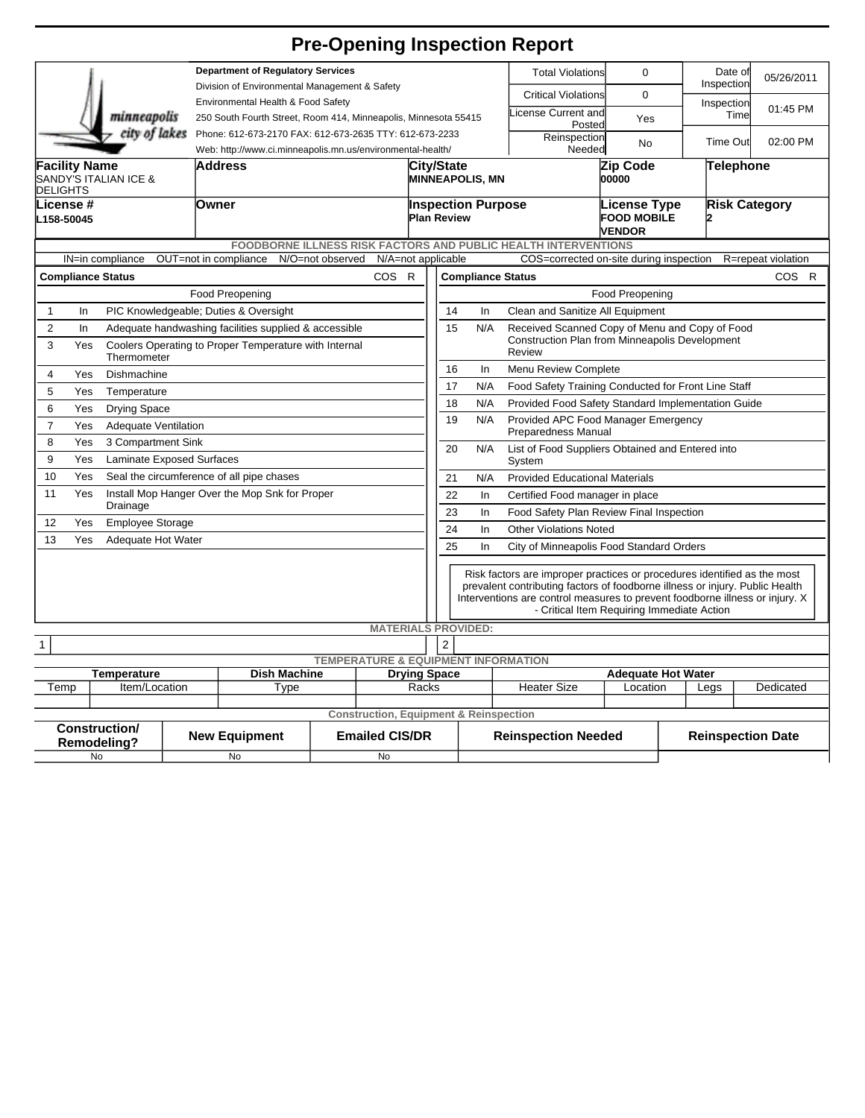## **Pre-Opening Inspection Report**

|                                                                                |                                                                                                                                                      |  | <b>Department of Regulatory Services</b>                                            |                    |                                                                            |                                                      |                                                                                                                                                                                                                                                                                        |                                                          | <b>Total Violations</b> | $\mathbf 0$                |                                                     | Date of<br>Inspection | 05/26/2011           |           |  |
|--------------------------------------------------------------------------------|------------------------------------------------------------------------------------------------------------------------------------------------------|--|-------------------------------------------------------------------------------------|--------------------|----------------------------------------------------------------------------|------------------------------------------------------|----------------------------------------------------------------------------------------------------------------------------------------------------------------------------------------------------------------------------------------------------------------------------------------|----------------------------------------------------------|-------------------------|----------------------------|-----------------------------------------------------|-----------------------|----------------------|-----------|--|
| minneapolis                                                                    |                                                                                                                                                      |  | Division of Environmental Management & Safety<br>Environmental Health & Food Safety |                    |                                                                            |                                                      |                                                                                                                                                                                                                                                                                        |                                                          |                         | <b>Critical Violations</b> | $\mathbf 0$                                         |                       | Inspection           |           |  |
|                                                                                |                                                                                                                                                      |  | 250 South Fourth Street, Room 414, Minneapolis, Minnesota 55415                     |                    |                                                                            |                                                      |                                                                                                                                                                                                                                                                                        |                                                          |                         | icense Current and         | Yes                                                 |                       | Time                 | 01:45 PM  |  |
|                                                                                |                                                                                                                                                      |  | city of lakes Phone: 612-673-2170 FAX: 612-673-2635 TTY: 612-673-2233               |                    |                                                                            |                                                      |                                                                                                                                                                                                                                                                                        |                                                          |                         | Posted<br>Reinspection     |                                                     |                       | <b>Time Out</b>      | 02:00 PM  |  |
|                                                                                |                                                                                                                                                      |  | Web: http://www.ci.minneapolis.mn.us/environmental-health/                          |                    |                                                                            |                                                      | Needed                                                                                                                                                                                                                                                                                 |                                                          |                         | No                         |                                                     |                       |                      |           |  |
| <b>Facility Name</b><br><b>SANDY'S ITALIAN ICE &amp;</b><br><b>DELIGHTS</b>    |                                                                                                                                                      |  | Address                                                                             |                    |                                                                            |                                                      | City/State<br><b>MINNEAPOLIS, MN</b>                                                                                                                                                                                                                                                   |                                                          |                         | Zip Code<br>00000          |                                                     | Telephone             |                      |           |  |
| lLicense #<br>L158-50045                                                       |                                                                                                                                                      |  | Owner                                                                               | <b>Plan Review</b> |                                                                            |                                                      |                                                                                                                                                                                                                                                                                        | <b>Inspection Purpose</b>                                |                         |                            | License Type<br><b>FOOD MOBILE</b><br><b>VENDOR</b> |                       | <b>Risk Category</b> |           |  |
|                                                                                |                                                                                                                                                      |  | FOODBORNE ILLNESS RISK FACTORS AND PUBLIC HEALTH INTERVENTIONS                      |                    |                                                                            |                                                      |                                                                                                                                                                                                                                                                                        |                                                          |                         |                            |                                                     |                       |                      |           |  |
|                                                                                | OUT=not in compliance<br>N/O=not observed<br>N/A=not applicable<br>COS=corrected on-site during inspection<br>IN=in compliance<br>R=repeat violation |  |                                                                                     |                    |                                                                            |                                                      |                                                                                                                                                                                                                                                                                        |                                                          |                         |                            |                                                     |                       |                      |           |  |
|                                                                                | <b>COS</b><br>$\mathsf{R}$<br><b>Compliance Status</b>                                                                                               |  |                                                                                     |                    |                                                                            |                                                      | <b>Compliance Status</b><br>COS R                                                                                                                                                                                                                                                      |                                                          |                         |                            |                                                     |                       |                      |           |  |
|                                                                                | <b>Food Preopening</b>                                                                                                                               |  |                                                                                     |                    |                                                                            |                                                      | <b>Food Preopening</b>                                                                                                                                                                                                                                                                 |                                                          |                         |                            |                                                     |                       |                      |           |  |
| In<br>$\mathbf{1}$                                                             |                                                                                                                                                      |  | PIC Knowledgeable; Duties & Oversight                                               |                    |                                                                            |                                                      | 14<br>Clean and Sanitize All Equipment<br>In                                                                                                                                                                                                                                           |                                                          |                         |                            |                                                     |                       |                      |           |  |
| $\overline{2}$<br>In                                                           |                                                                                                                                                      |  | Adequate handwashing facilities supplied & accessible                               |                    |                                                                            |                                                      | 15                                                                                                                                                                                                                                                                                     | N/A                                                      |                         |                            | Received Scanned Copy of Menu and Copy of Food      |                       |                      |           |  |
|                                                                                | 3<br>Coolers Operating to Proper Temperature with Internal<br>Yes<br>Thermometer                                                                     |  |                                                                                     |                    |                                                                            |                                                      |                                                                                                                                                                                                                                                                                        | Construction Plan from Minneapolis Development<br>Review |                         |                            |                                                     |                       |                      |           |  |
| $\overline{4}$                                                                 | Dishmachine<br>Yes                                                                                                                                   |  |                                                                                     |                    |                                                                            |                                                      | 16<br>Menu Review Complete<br>In                                                                                                                                                                                                                                                       |                                                          |                         |                            |                                                     |                       |                      |           |  |
| 5                                                                              | Yes<br>Temperature                                                                                                                                   |  |                                                                                     |                    |                                                                            |                                                      | 17<br>N/A<br>Food Safety Training Conducted for Front Line Staff                                                                                                                                                                                                                       |                                                          |                         |                            |                                                     |                       |                      |           |  |
| 6                                                                              | Yes<br><b>Drying Space</b>                                                                                                                           |  |                                                                                     |                    |                                                                            |                                                      | N/A<br>Provided Food Safety Standard Implementation Guide<br>18                                                                                                                                                                                                                        |                                                          |                         |                            |                                                     |                       |                      |           |  |
| $\overline{7}$                                                                 | Yes<br><b>Adequate Ventilation</b>                                                                                                                   |  |                                                                                     |                    |                                                                            |                                                      | N/A<br>19<br>Provided APC Food Manager Emergency<br>Preparedness Manual                                                                                                                                                                                                                |                                                          |                         |                            |                                                     |                       |                      |           |  |
| 8<br>Yes<br>3 Compartment Sink<br>9<br>Yes<br><b>Laminate Exposed Surfaces</b> |                                                                                                                                                      |  |                                                                                     |                    |                                                                            |                                                      | 20<br>N/A<br>List of Food Suppliers Obtained and Entered into<br>System                                                                                                                                                                                                                |                                                          |                         |                            |                                                     |                       |                      |           |  |
| 10<br>Yes<br>Seal the circumference of all pipe chases                         |                                                                                                                                                      |  |                                                                                     |                    |                                                                            |                                                      | 21<br><b>Provided Educational Materials</b><br>N/A                                                                                                                                                                                                                                     |                                                          |                         |                            |                                                     |                       |                      |           |  |
| 11                                                                             | Install Mop Hanger Over the Mop Snk for Proper<br>Yes                                                                                                |  |                                                                                     |                    |                                                                            |                                                      | 22<br>In<br>Certified Food manager in place                                                                                                                                                                                                                                            |                                                          |                         |                            |                                                     |                       |                      |           |  |
| Drainage                                                                       |                                                                                                                                                      |  |                                                                                     |                    |                                                                            | 23<br>Food Safety Plan Review Final Inspection<br>In |                                                                                                                                                                                                                                                                                        |                                                          |                         |                            |                                                     |                       |                      |           |  |
| 12                                                                             | Yes<br><b>Employee Storage</b>                                                                                                                       |  |                                                                                     |                    |                                                                            |                                                      | 24<br><b>Other Violations Noted</b><br>In                                                                                                                                                                                                                                              |                                                          |                         |                            |                                                     |                       |                      |           |  |
|                                                                                | 13<br>Yes<br>Adequate Hot Water                                                                                                                      |  |                                                                                     |                    |                                                                            |                                                      | 25<br>City of Minneapolis Food Standard Orders<br>In                                                                                                                                                                                                                                   |                                                          |                         |                            |                                                     |                       |                      |           |  |
|                                                                                |                                                                                                                                                      |  |                                                                                     |                    |                                                                            |                                                      | Risk factors are improper practices or procedures identified as the most<br>prevalent contributing factors of foodborne illness or injury. Public Health<br>Interventions are control measures to prevent foodborne illness or injury. X<br>- Critical Item Requiring Immediate Action |                                                          |                         |                            |                                                     |                       |                      |           |  |
|                                                                                |                                                                                                                                                      |  |                                                                                     |                    | <b>MATERIALS PROVIDED:</b>                                                 |                                                      |                                                                                                                                                                                                                                                                                        |                                                          |                         |                            |                                                     |                       |                      |           |  |
| $\overline{c}$<br>1<br><b>TEMPERATURE &amp; EQUIPMENT INFORMATION</b>          |                                                                                                                                                      |  |                                                                                     |                    |                                                                            |                                                      |                                                                                                                                                                                                                                                                                        |                                                          |                         |                            |                                                     |                       |                      |           |  |
| <b>Dish Machine</b><br><b>Drying Space</b><br><b>Temperature</b>               |                                                                                                                                                      |  |                                                                                     |                    |                                                                            |                                                      |                                                                                                                                                                                                                                                                                        |                                                          |                         | <b>Adequate Hot Water</b>  |                                                     |                       |                      |           |  |
| Temp<br>Item/Location                                                          |                                                                                                                                                      |  | Type                                                                                |                    | Racks                                                                      |                                                      |                                                                                                                                                                                                                                                                                        |                                                          | <b>Heater Size</b>      |                            | Location                                            |                       | Legs                 | Dedicated |  |
|                                                                                |                                                                                                                                                      |  |                                                                                     |                    |                                                                            |                                                      |                                                                                                                                                                                                                                                                                        |                                                          |                         |                            |                                                     |                       |                      |           |  |
| <b>Construction/</b><br>Remodeling?                                            |                                                                                                                                                      |  | <b>New Equipment</b>                                                                |                    | <b>Construction, Equipment &amp; Reinspection</b><br><b>Emailed CIS/DR</b> |                                                      |                                                                                                                                                                                                                                                                                        | <b>Reinspection Needed</b>                               |                         |                            | <b>Reinspection Date</b>                            |                       |                      |           |  |
| No                                                                             |                                                                                                                                                      |  | No                                                                                  |                    | No                                                                         |                                                      |                                                                                                                                                                                                                                                                                        |                                                          |                         |                            |                                                     |                       |                      |           |  |